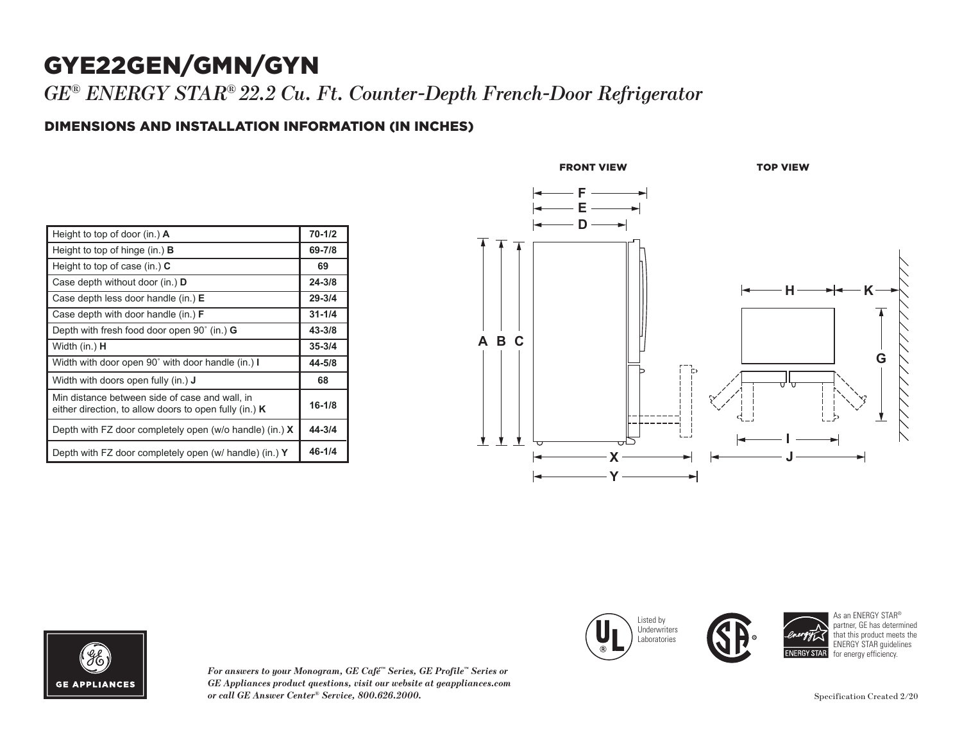## GYE22GEN/GMN/GYN

*GE® ENERGY STAR® 22.2 Cu. Ft. Counter-Depth French-Door Refrigerator*

### DIMENSIONS AND INSTALLATION INFORMATION (IN INCHES) **I**

| Height to top of door (in.) $\bf{A}$                                                                       | $70 - 1/2$ |
|------------------------------------------------------------------------------------------------------------|------------|
| Height to top of hinge (in.) $\bf{B}$                                                                      | 69-7/8     |
| Height to top of case (in.) $C$                                                                            | 69         |
| Case depth without door (in.) D                                                                            | $24 - 3/8$ |
| Case depth less door handle (in.) E                                                                        | $29 - 3/4$ |
| Case depth with door handle (in.) $F$                                                                      | $31 - 1/4$ |
| Depth with fresh food door open $90^{\circ}$ (in.) G                                                       | $43 - 3/8$ |
| Width (in.) <b>H</b>                                                                                       | $35 - 3/4$ |
| Width with door open 90° with door handle (in.) I                                                          | 44-5/8     |
| Width with doors open fully (in.) <b>J</b>                                                                 | 68         |
| Min distance between side of case and wall, in<br>either direction, to allow doors to open fully (in.) $K$ | $16 - 1/8$ |
| Depth with FZ door completely open (w/o handle) (in.) $X$                                                  | 44-3/4     |
| Depth with FZ door completely open (w/ handle) (in.) $Y$                                                   | $46 - 1/4$ |



**Width Width Width Width Width Width Width Width Width Width Width Width Width Width Width Width Width Width Width Width Width Width Width Width Width Width Width Width Width Width Width Width Width Width Width Width Width** 

 $\mathcal{N}$ either doors to  $\mathcal{N}$ Depth with FZ door completely open (w/o handle) (in.) **X**

 $\left| \begin{array}{c} \blacksquare \ \blacksquare \end{array} \right|$  Underwriters **Laboratories** 



*For answers to your Monogram, GE Café™ Series, GE Profile™ Series or GE Appliances product questions, visit our website at geappliances.com or call GE Answer Center® Service, 800.626.2000.*

Specification Created 2/20

As an ENERGY STAR® partner, GE has determined that this product meets the ENERGY STAR guidelines for energy efficiency.

**44-5/8 68 16-1/8**